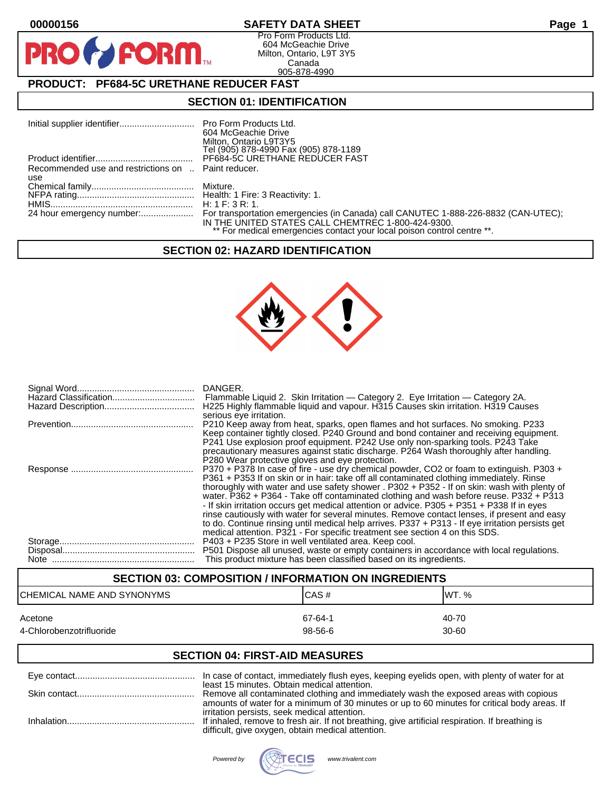**PR** 

# **00000156 SAFETY DATA SHEET Page 1**

Pro Form Products Ltd. 604 McGeachie Drive Milton, Ontario, L9T 3Y5 Canada 905-878-4990

# **PRODUCT: PF684-5C URETHANE REDUCER FAST**

**FORM** 

## **SECTION 01: IDENTIFICATION**

|                                                     | 604 McGeachie Drive<br>Milton, Ontario L9T3Y5<br>Tel (905) 878-4990 Fax (905) 878-1189                                        |
|-----------------------------------------------------|-------------------------------------------------------------------------------------------------------------------------------|
|                                                     | PF684-5C URETHANE REDUCER FAST                                                                                                |
| Recommended use and restrictions on  Paint reducer. |                                                                                                                               |
| use                                                 |                                                                                                                               |
|                                                     |                                                                                                                               |
|                                                     |                                                                                                                               |
|                                                     |                                                                                                                               |
|                                                     | IN THE UNITED STATES CALL CHEMTREC 1-800-424-9300.<br>** For medical emergencies contact your local poison control centre **. |

## **SECTION 02: HAZARD IDENTIFICATION**



| H225 Highly flammable liquid and vapour. H315 Causes skin irritation. H319 Causes<br>serious eye irritation.                                                                                                                                                                                                                                                                                                                                                                                                                                                                                                                                                                                                                                                  |
|---------------------------------------------------------------------------------------------------------------------------------------------------------------------------------------------------------------------------------------------------------------------------------------------------------------------------------------------------------------------------------------------------------------------------------------------------------------------------------------------------------------------------------------------------------------------------------------------------------------------------------------------------------------------------------------------------------------------------------------------------------------|
| P210 Keep away from heat, sparks, open flames and hot surfaces. No smoking. P233<br>Keep container tightly closed. P240 Ground and bond container and receiving equipment.<br>P241 Use explosion proof equipment. P242 Use only non-sparking tools. P243 Take<br>precautionary measures against static discharge. P264 Wash thoroughly after handling.<br>P280 Wear protective gloves and eye protection.                                                                                                                                                                                                                                                                                                                                                     |
| P370 + P378 In case of fire - use dry chemical powder, CO2 or foam to extinguish. P303 +<br>P361 + P353 If on skin or in hair: take off all contaminated clothing immediately. Rinse<br>thoroughly with water and use safety shower . P302 + P352 - If on skin: wash with plenty of<br>water. P362 + P364 - Take off contaminated clothing and wash before reuse. P332 + P313<br>- If skin irritation occurs get medical attention or advice. P305 + P351 + P338 If in eyes<br>rinse cautiously with water for several minutes. Remove contact lenses, if present and easy<br>to do. Continue rinsing until medical help arrives. P337 + P313 - If eye irritation persists get<br>medical attention. P321 - For specific treatment see section 4 on this SDS. |
| P403 + P235 Store in well ventilated area. Keep cool.<br>P501 Dispose all unused, waste or empty containers in accordance with local regulations.<br>This product mixture has been classified based on its ingredients.                                                                                                                                                                                                                                                                                                                                                                                                                                                                                                                                       |

## **SECTION 03: COMPOSITION / INFORMATION ON INGREDIENTS**

| ICHEMICAL NAME AND SYNONYMS | CAS#    | IWT. %    |
|-----------------------------|---------|-----------|
| Acetone                     | 67-64-1 | 40-70     |
| 4-Chlorobenzotrifluoride    | 98-56-6 | $30 - 60$ |

## **SECTION 04: FIRST-AID MEASURES**

| In case of contact, immediately flush eyes, keeping eyelids open, with plenty of water for at                                                        |
|------------------------------------------------------------------------------------------------------------------------------------------------------|
| least 15 minutes. Obtain medical attention.<br>Remove all contaminated clothing and immediately wash the exposed areas with copious                  |
| amounts of water for a minimum of 30 minutes or up to 60 minutes for critical body areas. If<br>irritation persists, seek medical attention.         |
| If inhaled, remove to fresh air. If not breathing, give artificial respiration. If breathing is<br>difficult, give oxygen, obtain medical attention. |

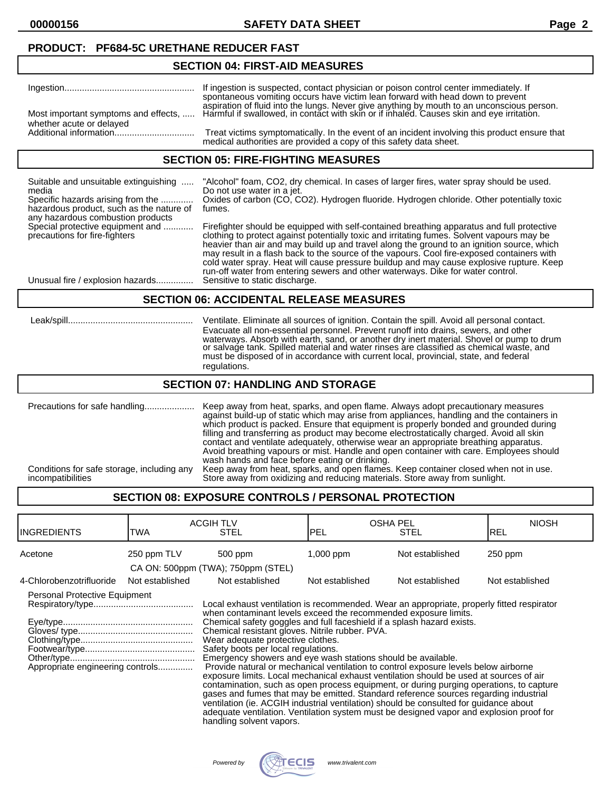**00000156 SAFETY DATA SHEET Page 2**

## **PRODUCT: PF684-5C URETHANE REDUCER FAST**

#### **SECTION 04: FIRST-AID MEASURES**

|                          | spontaneous vomiting occurs have victim lean forward with head down to prevent                                                                                                                                               |
|--------------------------|------------------------------------------------------------------------------------------------------------------------------------------------------------------------------------------------------------------------------|
| whether acute or delayed | aspiration of fluid into the lungs. Never give anything by mouth to an unconscious person.<br>Most important symptoms and effects,  Harmful if swallowed, in contact with skin or if inhaled. Causes skin and eye irritation |
|                          | Treat victims symptomatically. In the event of an incident involving this product ensure that<br>medical authorities are provided a copy of this safety data sheet.                                                          |

### **SECTION 05: FIRE-FIGHTING MEASURES**

| Suitable and unsuitable extinguishing<br>media<br>Specific hazards arising from the<br>hazardous product, such as the nature of<br>any hazardous combustion products | "Alcohol" foam, CO2, dry chemical. In cases of larger fires, water spray should be used.<br>Do not use water in a jet.<br>Oxides of carbon (CO, CO2). Hydrogen fluoride. Hydrogen chloride. Other potentially toxic<br>fumes.                                                                                                                                                                                                                                                                                                                                       |
|----------------------------------------------------------------------------------------------------------------------------------------------------------------------|---------------------------------------------------------------------------------------------------------------------------------------------------------------------------------------------------------------------------------------------------------------------------------------------------------------------------------------------------------------------------------------------------------------------------------------------------------------------------------------------------------------------------------------------------------------------|
| Special protective equipment and<br>precautions for fire-fighters                                                                                                    | Firefighter should be equipped with self-contained breathing apparatus and full protective<br>clothing to protect against potentially toxic and irritating fumes. Solvent vapours may be<br>heavier than air and may build up and travel along the ground to an ignition source, which<br>may result in a flash back to the source of the vapours. Cool fire-exposed containers with<br>cold water spray. Heat will cause pressure buildup and may cause explosive rupture. Keep<br>run-off water from entering sewers and other waterways. Dike for water control. |
| Unusual fire / explosion hazards                                                                                                                                     | Sensitive to static discharge.                                                                                                                                                                                                                                                                                                                                                                                                                                                                                                                                      |

### **SECTION 06: ACCIDENTAL RELEASE MEASURES**

| Leak/spill. | Ventilate. Eliminate all sources of ignition. Contain the spill. Avoid all personal contact.<br>Evacuate all non-essential personnel. Prevent runoff into drains, sewers, and other<br>waterways. Absorb with earth, sand, or another dry inert material. Shovel or pump to drum<br>or salvage tank. Spilled material and water rinses are classified as chemical waste, and<br>must be disposed of in accordance with current local, provincial, state, and federal<br>regulations. |
|-------------|--------------------------------------------------------------------------------------------------------------------------------------------------------------------------------------------------------------------------------------------------------------------------------------------------------------------------------------------------------------------------------------------------------------------------------------------------------------------------------------|
|-------------|--------------------------------------------------------------------------------------------------------------------------------------------------------------------------------------------------------------------------------------------------------------------------------------------------------------------------------------------------------------------------------------------------------------------------------------------------------------------------------------|

### **SECTION 07: HANDLING AND STORAGE**

Precautions for safe handling.................... Keep away from heat, sparks, and open flame. Always adopt precautionary measures against build-up of static which may arise from appliances, handling and the containers in which product is packed. Ensure that equipment is properly bonded and grounded during filling and transferring as product may become electrostatically charged. Avoid all skin contact and ventilate adequately, otherwise wear an appropriate breathing apparatus. Avoid breathing vapours or mist. Handle and open container with care. Employees should wash hands and face before eating or drinking. Conditions for safe storage, including any Keep away from heat, sparks, and open flames. Keep container closed when not in use. incompatibilities Store away from oxidizing and reducing materials. Store away from sunlight.

## **SECTION 08: EXPOSURE CONTROLS / PERSONAL PROTECTION**

| <b>INGREDIENTS</b>                                                | TWA             | <b>ACGIH TLV</b><br>STEL                                                                                                                                                                                                                                                                                                                                                                                                                                                                                                                                                                                                                                                                                                                                                                                                                                                                                                                                                                                                  | <b>PEL</b>      | <b>OSHA PEL</b><br>STEL | <b>NIOSH</b><br>IREL |
|-------------------------------------------------------------------|-----------------|---------------------------------------------------------------------------------------------------------------------------------------------------------------------------------------------------------------------------------------------------------------------------------------------------------------------------------------------------------------------------------------------------------------------------------------------------------------------------------------------------------------------------------------------------------------------------------------------------------------------------------------------------------------------------------------------------------------------------------------------------------------------------------------------------------------------------------------------------------------------------------------------------------------------------------------------------------------------------------------------------------------------------|-----------------|-------------------------|----------------------|
| Acetone                                                           | 250 ppm TLV     | 500 ppm                                                                                                                                                                                                                                                                                                                                                                                                                                                                                                                                                                                                                                                                                                                                                                                                                                                                                                                                                                                                                   | 1,000 ppm       | Not established         | $250$ ppm            |
|                                                                   |                 | CA ON: 500ppm (TWA); 750ppm (STEL)                                                                                                                                                                                                                                                                                                                                                                                                                                                                                                                                                                                                                                                                                                                                                                                                                                                                                                                                                                                        |                 |                         |                      |
| 4-Chlorobenzotrifluoride                                          | Not established | Not established                                                                                                                                                                                                                                                                                                                                                                                                                                                                                                                                                                                                                                                                                                                                                                                                                                                                                                                                                                                                           | Not established | Not established         | Not established      |
| Personal Protective Equipment<br>Appropriate engineering controls |                 | Local exhaust ventilation is recommended. Wear an appropriate, properly fitted respirator<br>when contaminant levels exceed the recommended exposure limits.<br>Chemical safety goggles and full faceshield if a splash hazard exists.<br>Chemical resistant gloves. Nitrile rubber. PVA.<br>Wear adequate protective clothes.<br>Safety boots per local regulations.<br>Emergency showers and eye wash stations should be available.<br>Provide natural or mechanical ventilation to control exposure levels below airborne<br>exposure limits. Local mechanical exhaust ventilation should be used at sources of air<br>contamination, such as open process equipment, or during purging operations, to capture<br>gases and fumes that may be emitted. Standard reference sources regarding industrial<br>ventilation (ie. ACGIH industrial ventilation) should be consulted for guidance about<br>adequate ventilation. Ventilation system must be designed vapor and explosion proof for<br>handling solvent vapors. |                 |                         |                      |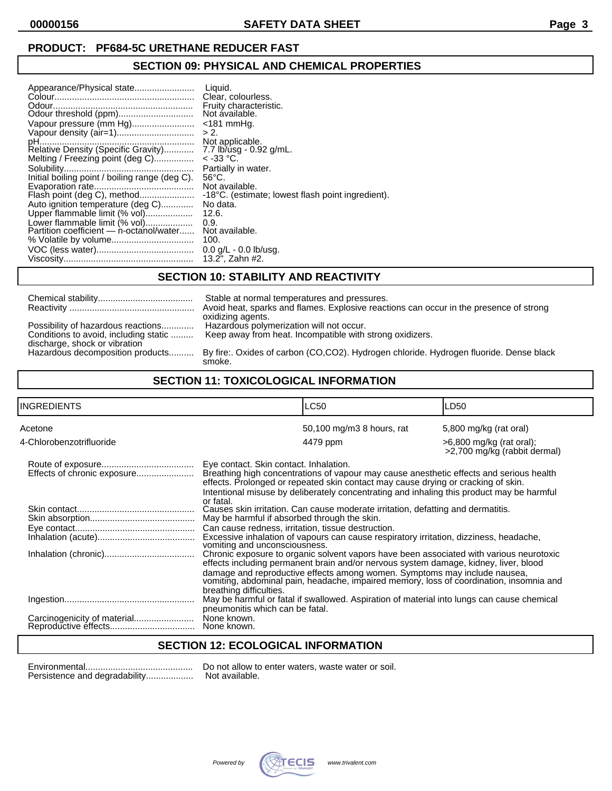# **PRODUCT: PF684-5C URETHANE REDUCER FAST**

# **SECTION 09: PHYSICAL AND CHEMICAL PROPERTIES**

| Vapour pressure (mm Hg)<br>> 2.<br>Melting / Freezing point (deg C)<br>Initial boiling point / boiling range (deg C).<br>Flash point (deg C), method<br>Auto ignition temperature (deg C)<br>Upper flammable limit (% vol)<br>Lower flammable limit (% vol)<br>0.9.<br>Partition coefficient - n-octanol/water<br>100. | Liquid.<br>Clear, colourless.<br>Fruity characteristic.<br>Not ávailable.<br>$<$ 181 mmHq.<br>Not applicable.<br>7.7 lb/usg - 0.92 g/mL.<br>$<$ -33 °C.<br>Partially in water.<br>$56^{\circ}$ C.<br>Not available.<br>-18°C. (estimate; lowest flash point ingredient).<br>No data.<br>12.6.<br>Not available.<br>$0.0$ g/L - $0.0$ lb/usg.<br>13.2". Zahn #2. |
|------------------------------------------------------------------------------------------------------------------------------------------------------------------------------------------------------------------------------------------------------------------------------------------------------------------------|-----------------------------------------------------------------------------------------------------------------------------------------------------------------------------------------------------------------------------------------------------------------------------------------------------------------------------------------------------------------|
|------------------------------------------------------------------------------------------------------------------------------------------------------------------------------------------------------------------------------------------------------------------------------------------------------------------------|-----------------------------------------------------------------------------------------------------------------------------------------------------------------------------------------------------------------------------------------------------------------------------------------------------------------------------------------------------------------|

# **SECTION 10: STABILITY AND REACTIVITY**

| Possibility of hazardous reactions<br>Conditions to avoid, including static<br>discharge, shock or vibration<br>Hazardous decomposition products |  |
|--------------------------------------------------------------------------------------------------------------------------------------------------|--|

Stable at normal temperatures and pressures. Avoid heat, sparks and flames. Explosive reactions can occur in the presence of strong oxidizing agents. Hazardous polymerization will not occur. Keep away from heat. Incompatible with strong oxidizers.

By fire:. Oxides of carbon (CO,CO2). Hydrogen chloride. Hydrogen fluoride. Dense black smoke.

## **SECTION 11: TOXICOLOGICAL INFORMATION**

| INGREDIENTS              | <b>LC50</b>                                                                                                                                                                                                                                                                                                                                                                                                                                                                                                                                                                                                                                                                                                          | LD50                                                       |  |
|--------------------------|----------------------------------------------------------------------------------------------------------------------------------------------------------------------------------------------------------------------------------------------------------------------------------------------------------------------------------------------------------------------------------------------------------------------------------------------------------------------------------------------------------------------------------------------------------------------------------------------------------------------------------------------------------------------------------------------------------------------|------------------------------------------------------------|--|
| Acetone                  | 50,100 mg/m3 8 hours, rat                                                                                                                                                                                                                                                                                                                                                                                                                                                                                                                                                                                                                                                                                            | 5,800 mg/kg (rat oral)                                     |  |
| 4-Chlorobenzotrifluoride | 4479 ppm                                                                                                                                                                                                                                                                                                                                                                                                                                                                                                                                                                                                                                                                                                             | $>6,800$ mg/kg (rat oral);<br>>2,700 mg/kg (rabbit dermal) |  |
|                          | Eye contact. Skin contact. Inhalation.<br>Breathing high concentrations of vapour may cause anesthetic effects and serious health<br>effects. Prolonged or repeated skin contact may cause drying or cracking of skin.<br>Intentional misuse by deliberately concentrating and inhaling this product may be harmful                                                                                                                                                                                                                                                                                                                                                                                                  |                                                            |  |
|                          | or fatal.<br>Causes skin irritation. Can cause moderate irritation, defatting and dermatitis.<br>May be harmful if absorbed through the skin.<br>Can cause redness, irritation, tissue destruction.<br>Excessive inhalation of vapours can cause respiratory irritation, dizziness, headache,<br>vomiting and unconsciousness.<br>Chronic exposure to organic solvent vapors have been associated with various neurotoxic<br>effects including permanent brain and/or nervous system damage, kidney, liver, blood<br>damage and reproductive effects among women. Symptoms may include nausea,<br>vomiting, abdominal pain, headache, impaired memory, loss of coordination, insomnia and<br>breathing difficulties. |                                                            |  |
|                          |                                                                                                                                                                                                                                                                                                                                                                                                                                                                                                                                                                                                                                                                                                                      |                                                            |  |
|                          | May be harmful or fatal if swallowed. Aspiration of material into lungs can cause chemical<br>pneumonitis which can be fatal.<br>None known.<br>None known.                                                                                                                                                                                                                                                                                                                                                                                                                                                                                                                                                          |                                                            |  |

## **SECTION 12: ECOLOGICAL INFORMATION**

Persistence and degradability................... Not available.

Environmental........................................... Do not allow to enter waters, waste water or soil.